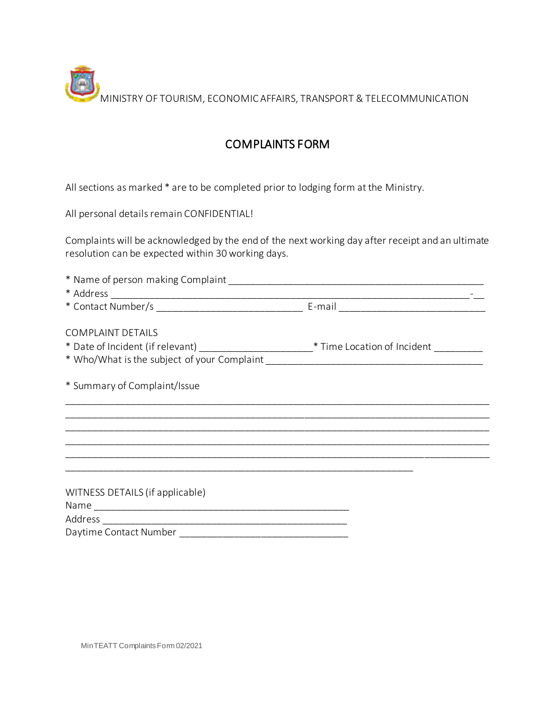MINISTRY OF TOURISM, ECONOMIC AFFAIRS, TRANSPORT & TELECOMMUNICATION

## COMPLAINTS FORM

All sections as marked \* are to be completed prior to lodging form at the Ministry.

All personal details remain CONFIDENTIAL!

Complaints will be acknowledged by the end of the next working day after receipt and an ultimate resolution can be expected within 30 working days.

| <b>COMPLAINT DETAILS</b><br>* Date of Incident (if relevant) _________________________* Time Location of Incident __________ |  |
|------------------------------------------------------------------------------------------------------------------------------|--|
|                                                                                                                              |  |
| * Summary of Complaint/Issue                                                                                                 |  |
|                                                                                                                              |  |
|                                                                                                                              |  |
|                                                                                                                              |  |
|                                                                                                                              |  |
|                                                                                                                              |  |
| WITNESS DETAILS (if applicable)                                                                                              |  |
|                                                                                                                              |  |
|                                                                                                                              |  |
|                                                                                                                              |  |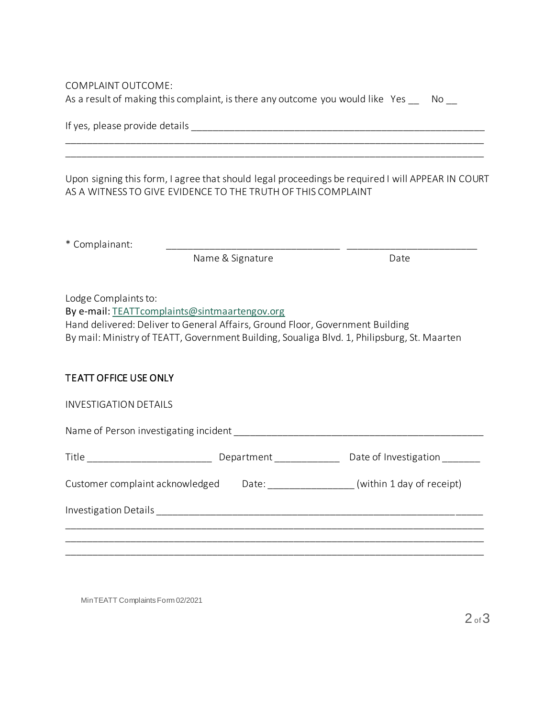COMPLAINT OUTCOME: As a result of making this complaint, is there any outcome you would like Yes No

| If yes, please provide details |
|--------------------------------|
|--------------------------------|

Upon signing this form, I agree that should legal proceedings be required I will APPEAR IN COURT AS A WITNESS TO GIVE EVIDENCE TO THE TRUTH OF THIS COMPLAINT

\_\_\_\_\_\_\_\_\_\_\_\_\_\_\_\_\_\_\_\_\_\_\_\_\_\_\_\_\_\_\_\_\_\_\_\_\_\_\_\_\_\_\_\_\_\_\_\_\_\_\_\_\_\_\_\_\_\_\_\_\_\_\_\_\_\_\_\_\_\_\_\_\_\_\_\_\_ \_\_\_\_\_\_\_\_\_\_\_\_\_\_\_\_\_\_\_\_\_\_\_\_\_\_\_\_\_\_\_\_\_\_\_\_\_\_\_\_\_\_\_\_\_\_\_\_\_\_\_\_\_\_\_\_\_\_\_\_\_\_\_\_\_\_\_\_\_\_\_\_\_\_\_\_\_

\* Complainant: \_\_\_\_\_\_\_\_\_\_\_\_\_\_\_\_\_\_\_\_\_\_\_\_\_\_\_\_\_\_\_\_ \_\_\_\_\_\_\_\_\_\_\_\_\_\_\_\_\_\_\_\_\_\_\_\_

Name & Signature Date

Lodge Complaints to:

By e-mail: TEATTcomplaints@sintmaartengov.org

Hand delivered: Deliver to General Affairs, Ground Floor, Government Building By mail: Ministry of TEATT, Government Building, Soualiga Blvd. 1, Philipsburg, St. Maarten

## TEATT OFFICE USE ONLY

INVESTIGATION DETAILS

Name of Person investigating incident \_\_\_\_\_\_\_\_\_\_\_\_\_\_\_\_\_\_\_\_\_\_\_\_\_\_\_\_\_\_\_\_\_\_\_\_\_\_\_\_\_\_\_\_\_\_

| $- \cdot$<br>Title | $+$ $   -$<br>LIAN <sub>2</sub><br>$\overline{A}$ | Date of Investigation |
|--------------------|---------------------------------------------------|-----------------------|
|                    |                                                   |                       |

\_\_\_\_\_\_\_\_\_\_\_\_\_\_\_\_\_\_\_\_\_\_\_\_\_\_\_\_\_\_\_\_\_\_\_\_\_\_\_\_\_\_\_\_\_\_\_\_\_\_\_\_\_\_\_\_\_\_\_\_\_\_\_\_\_\_\_\_\_\_\_\_\_\_\_\_\_ \_\_\_\_\_\_\_\_\_\_\_\_\_\_\_\_\_\_\_\_\_\_\_\_\_\_\_\_\_\_\_\_\_\_\_\_\_\_\_\_\_\_\_\_\_\_\_\_\_\_\_\_\_\_\_\_\_\_\_\_\_\_\_\_\_\_\_\_\_\_\_\_\_\_\_\_\_ \_\_\_\_\_\_\_\_\_\_\_\_\_\_\_\_\_\_\_\_\_\_\_\_\_\_\_\_\_\_\_\_\_\_\_\_\_\_\_\_\_\_\_\_\_\_\_\_\_\_\_\_\_\_\_\_\_\_\_\_\_\_\_\_\_\_\_\_\_\_\_\_\_\_\_\_\_

| Customer complaint acknowledged Date: |  | (within 1 day of receipt) |
|---------------------------------------|--|---------------------------|
|---------------------------------------|--|---------------------------|

Investigation Details \_\_\_\_\_\_\_\_\_\_\_\_\_\_\_\_\_\_\_\_\_\_\_\_\_\_\_\_\_\_\_\_\_\_\_\_\_\_\_\_\_\_\_\_\_\_\_\_\_\_\_\_\_\_\_\_\_\_\_\_

MinTEATT Complaints Form 02/2021